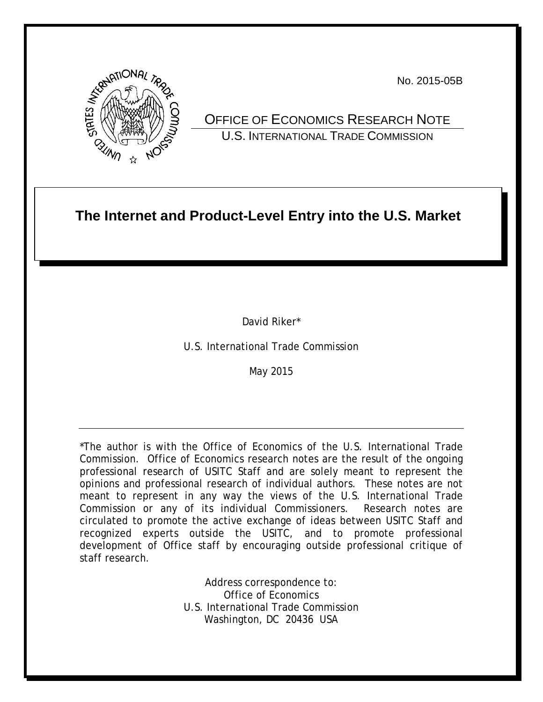

No. 2015-05B

OFFICE OF ECONOMICS RESEARCH NOTE U.S. INTERNATIONAL TRADE COMMISSION

# **The Internet and Product-Level Entry into the U.S. Market**

David Riker\*

U.S. International Trade Commission

May 2015

\*The author is with the Office of Economics of the U.S. International Trade Commission. Office of Economics research notes are the result of the ongoing professional research of USITC Staff and are solely meant to represent the opinions and professional research of individual authors. These notes are not meant to represent in any way the views of the U.S. International Trade Commission or any of its individual Commissioners. Research notes are circulated to promote the active exchange of ideas between USITC Staff and recognized experts outside the USITC, and to promote professional development of Office staff by encouraging outside professional critique of staff research.

> Address correspondence to: Office of Economics U.S. International Trade Commission Washington, DC 20436 USA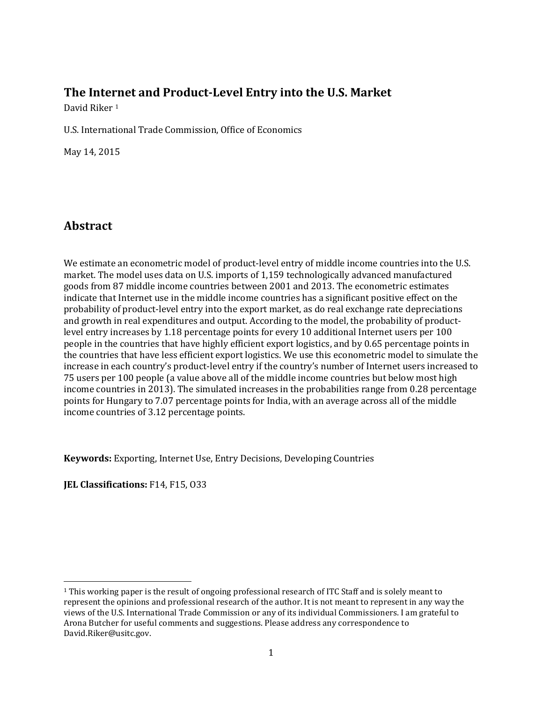# **The Inte[rn](#page-1-0)et and Product-Level Entry into the U.S. Market**

David Riker<sup>1</sup>

U.S. International Trade Commission, Office of Economics

May 14, 2015

# **Abstract**

We estimate an econometric model of product-level entry of middle income countries into the U.S. market. The model uses data on U.S. imports of 1,159 technologically advanced manufactured goods from 87 middle income countries between 2001 and 2013. The econometric estimates indicate that Internet use in the middle income countries has a significant positive effect on the probability of product-level entry into the export market, as do real exchange rate depreciations and growth in real expenditures and output. According to the model, the probability of productlevel entry increases by 1.18 percentage points for every 10 additional Internet users per 100 people in the countries that have highly efficient export logistics, and by 0.65 percentage points in the countries that have less efficient export logistics. We use this econometric model to simulate the increase in each country's product-level entry if the country's number of Internet users increased to 75 users per 100 people (a value above all of the middle income countries but below most high income countries in 2013). The simulated increases in the probabilities range from 0.28 percentage points for Hungary to 7.07 percentage points for India, with an average across all of the middle income countries of 3.12 percentage points.

**Keywords:** Exporting, Internet Use, Entry Decisions, Developing Countries

**JEL Classifications: F14, F15, 033** 

 $\overline{\phantom{a}}$ 

<span id="page-1-0"></span><sup>1</sup> This working paper is the result of ongoing professional research of ITC Staff and is solely meant to represent the opinions and professional research of the author. It is not meant to represent in any way the views of the U.S. International Trade Commission or any of its individual Commissioners. I am grateful to Arona Butcher for useful comments and suggestions. Please address any correspondence to David.Riker@usitc.gov.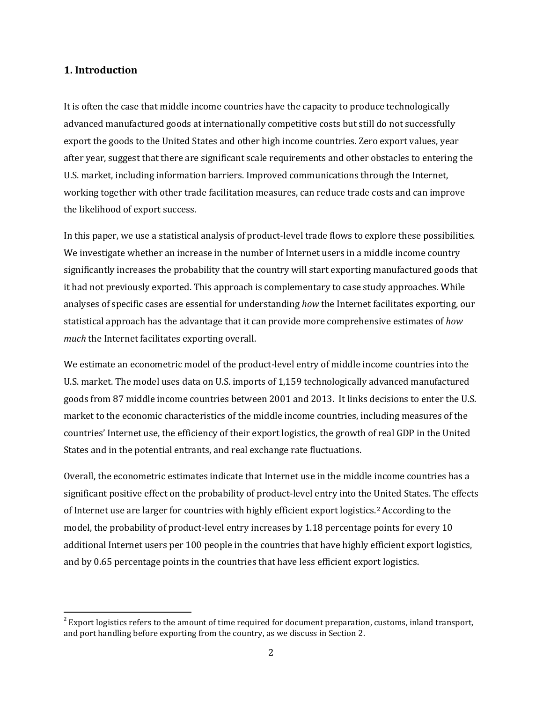## **1. Introduction**

l

It is often the case that middle income countries have the capacity to produce technologically advanced manufactured goods at internationally competitive costs but still do not successfully export the goods to the United States and other high income countries. Zero export values, year after year, suggest that there are significant scale requirements and other obstacles to entering the U.S. market, including information barriers. Improved communications through the Internet, working together with other trade facilitation measures, can reduce trade costs and can improve the likelihood of export success.

In this paper, we use a statistical analysis of product-level trade flows to explore these possibilities. We investigate whether an increase in the number of Internet users in a middle income country significantly increases the probability that the country will start exporting manufactured goods that it had not previously exported. This approach is complementary to case study approaches. While analyses of specific cases are essential for understanding *how* the Internet facilitates exporting, our statistical approach has the advantage that it can provide more comprehensive estimates of *how much* the Internet facilitates exporting overall.

We estimate an econometric model of the product-level entry of middle income countries into the U.S. market. The model uses data on U.S. imports of 1,159 technologically advanced manufactured goods from 87 middle income countries between 2001 and 2013. It links decisions to enter the U.S. market to the economic characteristics of the middle income countries, including measures of the countries' Internet use, the efficiency of their export logistics, the growth of real GDP in the United States and in the potential entrants, and real exchange rate fluctuations.

Overall, the econometric estimates indicate that Internet use in the middle income countries has a significant positive effect on the probability of product-level entry into the United States. The effects of Internet use are larger for countries with highly efficient export logistics.[2](#page-2-0) According to the model, the probability of product-level entry increases by 1.18 percentage points for every 10 additional Internet users per 100 people in the countries that have highly efficient export logistics, and by 0.65 percentage points in the countries that have less efficient export logistics.

<span id="page-2-0"></span> $2^2$  Export logistics refers to the amount of time required for document preparation, customs, inland transport, and port handling before exporting from the country, as we discuss in Section 2.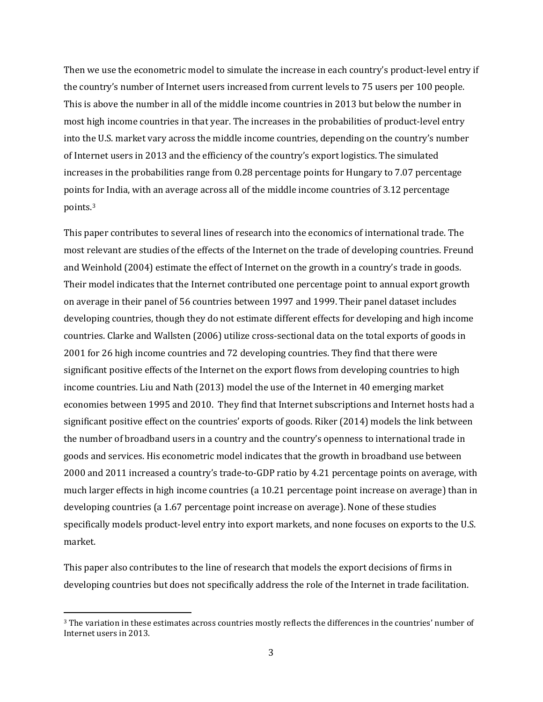Then we use the econometric model to simulate the increase in each country's product-level entry if the country's number of Internet users increased from current levels to 75 users per 100 people. This is above the number in all of the middle income countries in 2013 but below the number in most high income countries in that year. The increases in the probabilities of product-level entry into the U.S. market vary across the middle income countries, depending on the country's number of Internet users in 2013 and the efficiency of the country's export logistics. The simulated increases in the probabilities range from 0.28 percentage points for Hungary to 7.07 percentage points for India, with an average across all of the middle income countries of 3.12 percentage points.[3](#page-3-0)

This paper contributes to several lines of research into the economics of international trade. The most relevant are studies of the effects of the Internet on the trade of developing countries. Freund and Weinhold (2004) estimate the effect of Internet on the growth in a country's trade in goods. Their model indicates that the Internet contributed one percentage point to annual export growth on average in their panel of 56 countries between 1997 and 1999. Their panel dataset includes developing countries, though they do not estimate different effects for developing and high income countries. Clarke and Wallsten (2006) utilize cross-sectional data on the total exports of goods in 2001 for 26 high income countries and 72 developing countries. They find that there were significant positive effects of the Internet on the export flows from developing countries to high income countries. Liu and Nath (2013) model the use of the Internet in 40 emerging market economies between 1995 and 2010. They find that Internet subscriptions and Internet hosts had a significant positive effect on the countries' exports of goods. Riker (2014) models the link between the number of broadband users in a country and the country's openness to international trade in goods and services. His econometric model indicates that the growth in broadband use between 2000 and 2011 increased a country's trade-to-GDP ratio by 4.21 percentage points on average, with much larger effects in high income countries (a 10.21 percentage point increase on average) than in developing countries (a 1.67 percentage point increase on average). None of these studies specifically models product-level entry into export markets, and none focuses on exports to the U.S. market.

This paper also contributes to the line of research that models the export decisions of firms in developing countries but does not specifically address the role of the Internet in trade facilitation.

l

<span id="page-3-0"></span><sup>3</sup> The variation in these estimates across countries mostly reflects the differences in the countries' number of Internet users in 2013.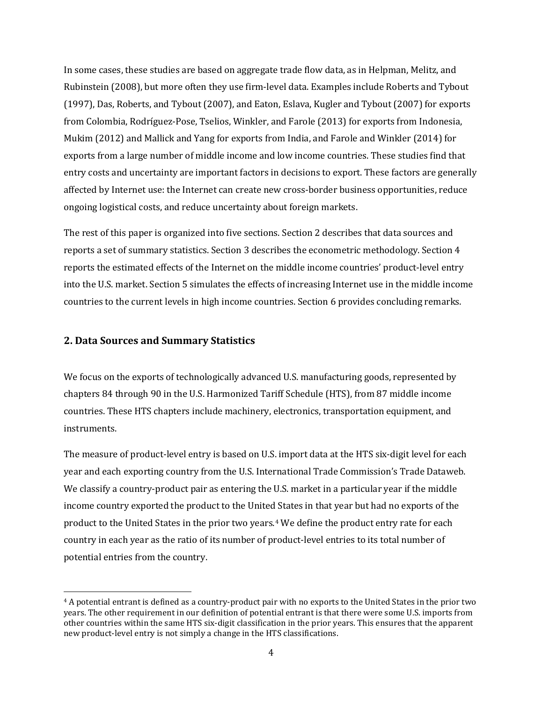In some cases, these studies are based on aggregate trade flow data, as in Helpman, Melitz, and Rubinstein (2008), but more often they use firm-level data. Examples include Roberts and Tybout (1997), Das, Roberts, and Tybout (2007), and Eaton, Eslava, Kugler and Tybout (2007) for exports from Colombia, Rodríguez-Pose, Tselios, Winkler, and Farole (2013) for exports from Indonesia, Mukim (2012) and Mallick and Yang for exports from India, and Farole and Winkler (2014) for exports from a large number of middle income and low income countries. These studies find that entry costs and uncertainty are important factors in decisions to export. These factors are generally affected by Internet use: the Internet can create new cross-border business opportunities, reduce ongoing logistical costs, and reduce uncertainty about foreign markets.

The rest of this paper is organized into five sections. Section 2 describes that data sources and reports a set of summary statistics. Section 3 describes the econometric methodology. Section 4 reports the estimated effects of the Internet on the middle income countries' product-level entry into the U.S. market. Section 5 simulates the effects of increasing Internet use in the middle income countries to the current levels in high income countries. Section 6 provides concluding remarks.

#### **2. Data Sources and Summary Statistics**

 $\overline{\phantom{a}}$ 

We focus on the exports of technologically advanced U.S. manufacturing goods, represented by chapters 84 through 90 in the U.S. Harmonized Tariff Schedule (HTS), from 87 middle income countries. These HTS chapters include machinery, electronics, transportation equipment, and instruments.

The measure of product-level entry is based on U.S. import data at the HTS six-digit level for each year and each exporting country from the U.S. International Trade Commission's Trade Dataweb. We classify a country-product pair as entering the U.S. market in a particular year if the middle income country exported the product to the United States in that year but had no exports of the product to the United States in the prior two years.[4](#page-4-0) We define the product entry rate for each country in each year as the ratio of its number of product-level entries to its total number of potential entries from the country.

<span id="page-4-0"></span><sup>4</sup> A potential entrant is defined as a country-product pair with no exports to the United States in the prior two years. The other requirement in our definition of potential entrant is that there were some U.S. imports from other countries within the same HTS six-digit classification in the prior years. This ensures that the apparent new product-level entry is not simply a change in the HTS classifications.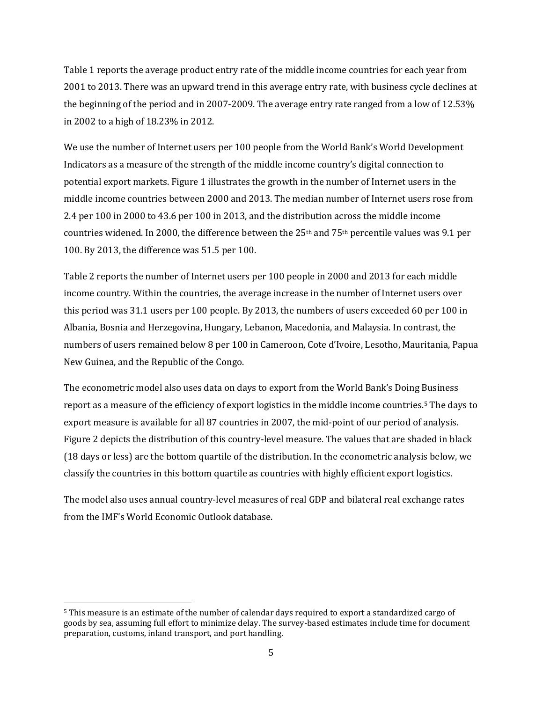Table 1 reports the average product entry rate of the middle income countries for each year from 2001 to 2013. There was an upward trend in this average entry rate, with business cycle declines at the beginning of the period and in 2007-2009. The average entry rate ranged from a low of 12.53% in 2002 to a high of 18.23% in 2012.

We use the number of Internet users per 100 people from the World Bank's World Development Indicators as a measure of the strength of the middle income country's digital connection to potential export markets. Figure 1 illustrates the growth in the number of Internet users in the middle income countries between 2000 and 2013. The median number of Internet users rose from 2.4 per 100 in 2000 to 43.6 per 100 in 2013, and the distribution across the middle income countries widened. In 2000, the difference between the  $25<sup>th</sup>$  and  $75<sup>th</sup>$  percentile values was 9.1 per 100. By 2013, the difference was 51.5 per 100.

Table 2 reports the number of Internet users per 100 people in 2000 and 2013 for each middle income country. Within the countries, the average increase in the number of Internet users over this period was 31.1 users per 100 people. By 2013, the numbers of users exceeded 60 per 100 in Albania, Bosnia and Herzegovina, Hungary, Lebanon, Macedonia, and Malaysia. In contrast, the numbers of users remained below 8 per 100 in Cameroon, Cote d'Ivoire, Lesotho, Mauritania, Papua New Guinea, and the Republic of the Congo.

The econometric model also uses data on days to export from the World Bank's Doing Business report as a measure of the efficiency of export logistics in the middle income countries[.5](#page-5-0) The days to export measure is available for all 87 countries in 2007, the mid-point of our period of analysis. Figure 2 depicts the distribution of this country-level measure. The values that are shaded in black (18 days or less) are the bottom quartile of the distribution. In the econometric analysis below, we classify the countries in this bottom quartile as countries with highly efficient export logistics.

The model also uses annual country-level measures of real GDP and bilateral real exchange rates from the IMF's World Economic Outlook database.

l

<span id="page-5-0"></span><sup>5</sup> This measure is an estimate of the number of calendar days required to export a standardized cargo of goods by sea, assuming full effort to minimize delay. The survey-based estimates include time for document preparation, customs, inland transport, and port handling.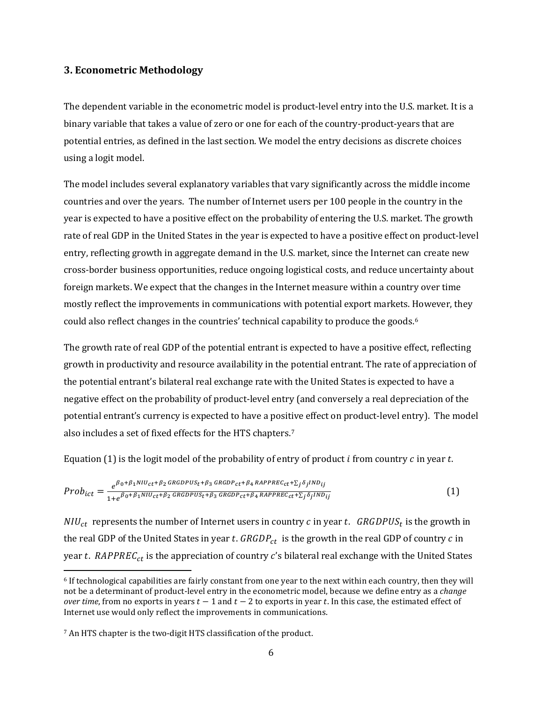## **3. Econometric Methodology**

The dependent variable in the econometric model is product-level entry into the U.S. market. It is a binary variable that takes a value of zero or one for each of the country-product-years that are potential entries, as defined in the last section. We model the entry decisions as discrete choices using a logit model.

The model includes several explanatory variables that vary significantly across the middle income countries and over the years. The number of Internet users per 100 people in the country in the year is expected to have a positive effect on the probability of entering the U.S. market. The growth rate of real GDP in the United States in the year is expected to have a positive effect on product-level entry, reflecting growth in aggregate demand in the U.S. market, since the Internet can create new cross-border business opportunities, reduce ongoing logistical costs, and reduce uncertainty about foreign markets. We expect that the changes in the Internet measure within a country over time mostly reflect the improvements in communications with potential export markets. However, they could also reflect changes in the countries' technical capability to produce the goods.<sup>[6](#page-6-0)</sup>

The growth rate of real GDP of the potential entrant is expected to have a positive effect, reflecting growth in productivity and resource availability in the potential entrant. The rate of appreciation of the potential entrant's bilateral real exchange rate with the United States is expected to have a negative effect on the probability of product-level entry (and conversely a real depreciation of the potential entrant's currency is expected to have a positive effect on product-level entry). The model also includes a set of fixed effects for the HTS chapters.[7](#page-6-1)

Equation (1) is the logit model of the probability of entry of product  $i$  from country  $c$  in year  $t$ .

$$
Prob_{ict} = \frac{e^{\beta_0 + \beta_1 N I U_{ct} + \beta_2 GRGDP U S_t + \beta_3 GRGDP_{ct} + \beta_4 RAPPREC_{ct} + \sum_j \delta_j IND_{ij}}}{1 + e^{\beta_0 + \beta_1 N I U_{ct} + \beta_2 GRGDP U S_t + \beta_3 GRGDP_{ct} + \beta_4 RAPPREC_{ct} + \sum_j \delta_j IND_{ij}}}
$$
\n(1)

 $NIU_{ct}$  represents the number of Internet users in country c in year t. GRGDPUS<sub>t</sub> is the growth in the real GDP of the United States in year  $t$ .  $GRGDP_{ct}$  is the growth in the real GDP of country  $c$  in year t.  $RAPPREC_{ct}$  is the appreciation of country c's bilateral real exchange with the United States

 $\overline{\phantom{a}}$ 

<span id="page-6-0"></span><sup>6</sup> If technological capabilities are fairly constant from one year to the next within each country, then they will not be a determinant of product-level entry in the econometric model, because we define entry as a *change over time*, from no exports in years  $t - 1$  and  $t - 2$  to exports in year t. In this case, the estimated effect of Internet use would only reflect the improvements in communications.

<span id="page-6-1"></span><sup>7</sup> An HTS chapter is the two-digit HTS classification of the product.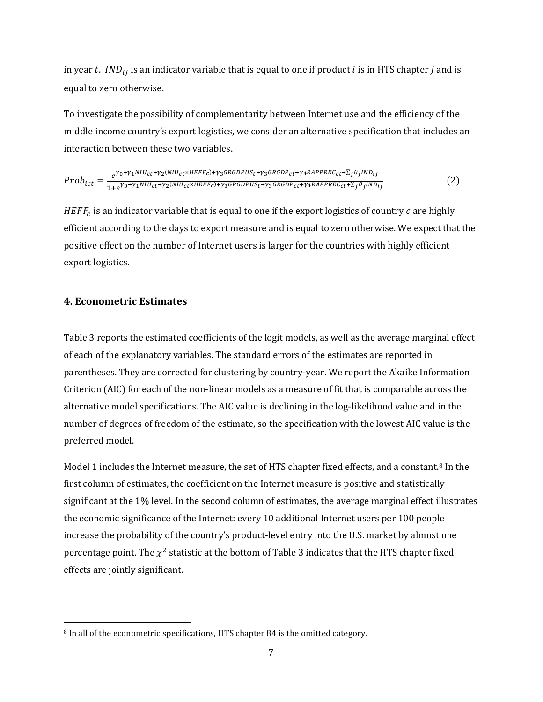in year t.  $IND_{ij}$  is an indicator variable that is equal to one if product *i* is in HTS chapter *j* and is equal to zero otherwise.

To investigate the possibility of complementarity between Internet use and the efficiency of the middle income country's export logistics, we consider an alternative specification that includes an interaction between these two variables.

$$
Prob_{ict} = \frac{e^{\gamma_0 + \gamma_1 N I U_{ct} + \gamma_2 (N I U_{ct} \times H E F F_c) + \gamma_3 G R GDP U S_t + \gamma_3 G R GDP_{ct} + \gamma_4 R A P P R E C_{ct} + \sum_j \theta_j I N D_{ij}}}{1 + e^{\gamma_0 + \gamma_1 N I U_{ct} + \gamma_2 (N I U_{ct} \times H E F F_c) + \gamma_3 G R GDP U S_t + \gamma_3 G R GDP_{ct} + \gamma_4 R A P P R E C_{ct} + \sum_j \theta_j I N D_{ij}}}
$$
(2)

 $H E F F_c$  is an indicator variable that is equal to one if the export logistics of country  $c$  are highly efficient according to the days to export measure and is equal to zero otherwise. We expect that the positive effect on the number of Internet users is larger for the countries with highly efficient export logistics.

## **4. Econometric Estimates**

l

Table 3 reports the estimated coefficients of the logit models, as well as the average marginal effect of each of the explanatory variables. The standard errors of the estimates are reported in parentheses. They are corrected for clustering by country-year. We report the Akaike Information Criterion (AIC) for each of the non-linear models as a measure of fit that is comparable across the alternative model specifications. The AIC value is declining in the log-likelihood value and in the number of degrees of freedom of the estimate, so the specification with the lowest AIC value is the preferred model.

Model 1 includes the Internet measure, the set of HTS chapter fixed effects, and a constant.<sup>[8](#page-7-0)</sup> In the first column of estimates, the coefficient on the Internet measure is positive and statistically significant at the 1% level. In the second column of estimates, the average marginal effect illustrates the economic significance of the Internet: every 10 additional Internet users per 100 people increase the probability of the country's product-level entry into the U.S. market by almost one percentage point. The  $\chi^2$  statistic at the bottom of Table 3 indicates that the HTS chapter fixed effects are jointly significant.

<span id="page-7-0"></span><sup>8</sup> In all of the econometric specifications, HTS chapter 84 is the omitted category.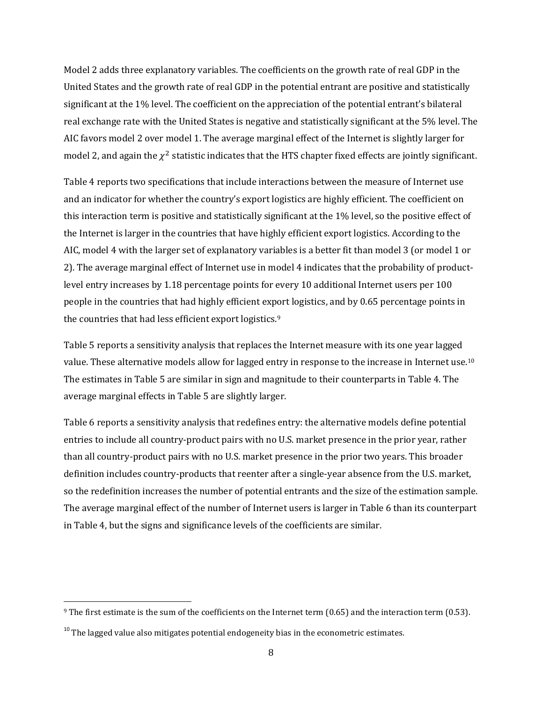Model 2 adds three explanatory variables. The coefficients on the growth rate of real GDP in the United States and the growth rate of real GDP in the potential entrant are positive and statistically significant at the 1% level. The coefficient on the appreciation of the potential entrant's bilateral real exchange rate with the United States is negative and statistically significant at the 5% level. The AIC favors model 2 over model 1. The average marginal effect of the Internet is slightly larger for model 2, and again the  $\chi^2$  statistic indicates that the HTS chapter fixed effects are jointly significant.

Table 4 reports two specifications that include interactions between the measure of Internet use and an indicator for whether the country's export logistics are highly efficient. The coefficient on this interaction term is positive and statistically significant at the 1% level, so the positive effect of the Internet is larger in the countries that have highly efficient export logistics. According to the AIC, model 4 with the larger set of explanatory variables is a better fit than model 3 (or model 1 or 2). The average marginal effect of Internet use in model 4 indicates that the probability of productlevel entry increases by 1.18 percentage points for every 10 additional Internet users per 100 people in the countries that had highly efficient export logistics, and by 0.65 percentage points in the countries that had less efficient export logistics.[9](#page-8-0)

Table 5 reports a sensitivity analysis that replaces the Internet measure with its one year lagged value. These alternative models allow for lagged entry in response to the increase in Internet use.[10](#page-8-1) The estimates in Table 5 are similar in sign and magnitude to their counterparts in Table 4. The average marginal effects in Table 5 are slightly larger.

Table 6 reports a sensitivity analysis that redefines entry: the alternative models define potential entries to include all country-product pairs with no U.S. market presence in the prior year, rather than all country-product pairs with no U.S. market presence in the prior two years. This broader definition includes country-products that reenter after a single-year absence from the U.S. market, so the redefinition increases the number of potential entrants and the size of the estimation sample. The average marginal effect of the number of Internet users is larger in Table 6 than its counterpart in Table 4, but the signs and significance levels of the coefficients are similar.

 $\overline{\phantom{a}}$ 

<span id="page-8-0"></span><sup>&</sup>lt;sup>9</sup> The first estimate is the sum of the coefficients on the Internet term (0.65) and the interaction term (0.53).

<span id="page-8-1"></span> $10$  The lagged value also mitigates potential endogeneity bias in the econometric estimates.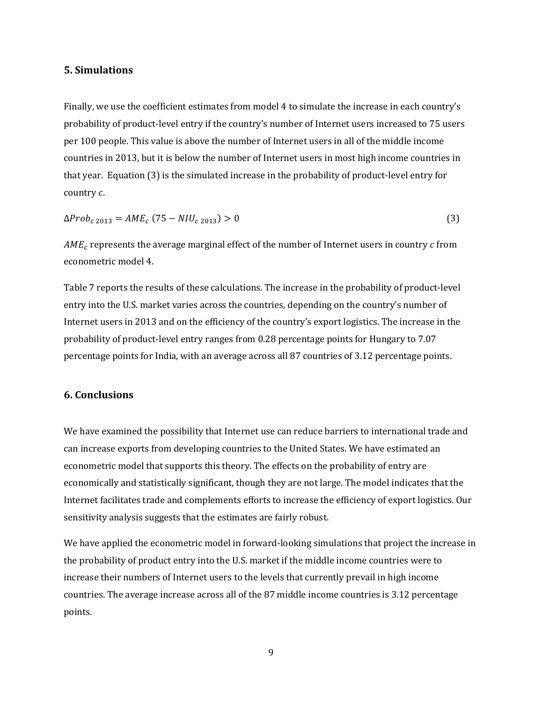#### **5. Simulations**

Finally, we use the coefficient estimates from model 4 to simulate the increase in each country's probability of product-level entry if the country's number of Internet users increased to 75 users per 100 people. This value is above the number of Internet users in all of the middle income countries in 2013, but it is below the number of Internet users in most high income countries in that year. Equation (3) is the simulated increase in the probability of product-level entry for country c.

$$
\Delta Prob_{c\,2013} = AME_c (75 - NIU_{c\,2013}) > 0 \tag{3}
$$

 $AME<sub>c</sub>$  represents the average marginal effect of the number of Internet users in country  $c$  from econometric model 4.

Table 7 reports the results of these calculations. The increase in the probability of product-level entry into the U.S. market varies across the countries, depending on the country's number of Internet users in 2013 and on the efficiency of the country's export logistics. The increase in the probability of product-level entry ranges from 0.28 percentage points for Hungary to 7.07 percentage points for India, with an average across all 87 countries of 3.12 percentage points.

## **6. Conclusions**

We have examined the possibility that Internet use can reduce barriers to international trade and can increase exports from developing countries to the United States. We have estimated an econometric model that supports this theory. The effects on the probability of entry are economically and statistically significant, though they are not large. The model indicates that the Internet facilitates trade and complements efforts to increase the efficiency of export logistics. Our sensitivity analysis suggests that the estimates are fairly robust.

We have applied the econometric model in forward-looking simulations that project the increase in the probability of product entry into the U.S. market if the middle income countries were to increase their numbers of Internet users to the levels that currently prevail in high income countries. The average increase across all of the 87 middle income countries is 3.12 percentage points.

9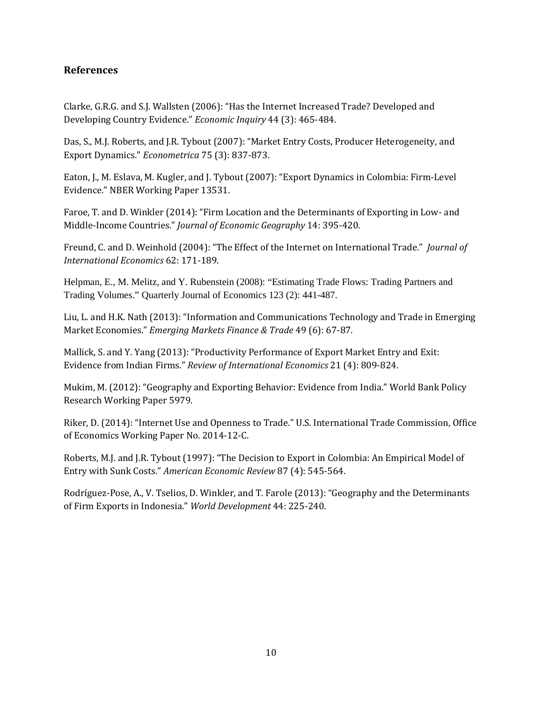## **References**

Clarke, G.R.G. and S.J. Wallsten (2006): "Has the Internet Increased Trade? Developed and Developing Country Evidence." *Economic Inquiry* 44 (3): 465-484.

Das, S., M.J. Roberts, and J.R. Tybout (2007): "Market Entry Costs, Producer Heterogeneity, and Export Dynamics." *Econometrica* 75 (3): 837-873.

Eaton, J., M. Eslava, M. Kugler, and J. Tybout (2007): "Export Dynamics in Colombia: Firm-Level Evidence." NBER Working Paper 13531.

Faroe, T. and D. Winkler (2014): "Firm Location and the Determinants of Exporting in Low- and Middle-Income Countries." *Journal of Economic Geography* 14: 395-420.

Freund, C. and D. Weinhold (2004): "The Effect of the Internet on International Trade." *Journal of International Economics* 62: 171-189.

Helpman, E., M. Melitz, and Y. Rubenstein (2008): "Estimating Trade Flows: Trading Partners and Trading Volumes." Quarterly Journal of Economics 123 (2): 441-487.

Liu, L. and H.K. Nath (2013): "Information and Communications Technology and Trade in Emerging Market Economies." *Emerging Markets Finance & Trade* 49 (6): 67-87.

Mallick, S. and Y. Yang (2013): "Productivity Performance of Export Market Entry and Exit: Evidence from Indian Firms." *Review of International Economics* 21 (4): 809-824.

Mukim, M. (2012): "Geography and Exporting Behavior: Evidence from India." World Bank Policy Research Working Paper 5979.

Riker, D. (2014): "Internet Use and Openness to Trade." U.S. International Trade Commission, Office of Economics Working Paper No. 2014-12-C.

Roberts, M.J. and J.R. Tybout (1997): "The Decision to Export in Colombia: An Empirical Model of Entry with Sunk Costs." *American Economic Review* 87 (4): 545-564.

Rodríguez-Pose, A., V. Tselios, D. Winkler, and T. Farole (2013): "Geography and the Determinants of Firm Exports in Indonesia." *World Development* 44: 225-240.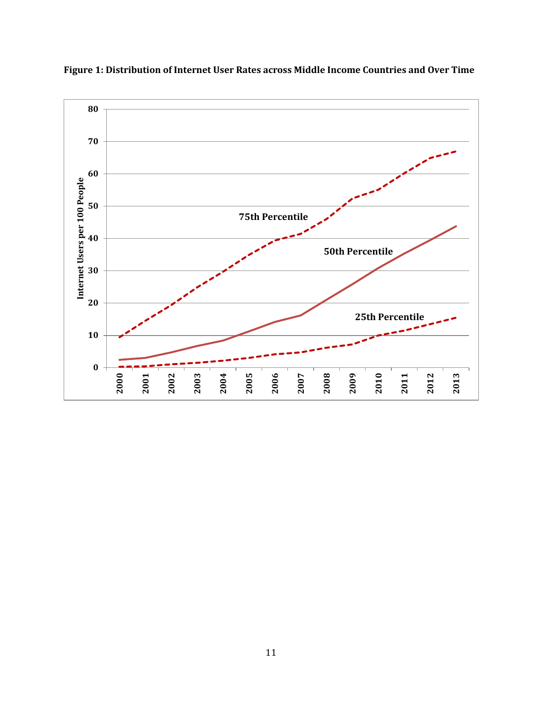

**Figure 1: Distribution of Internet User Rates across Middle Income Countries and Over Time**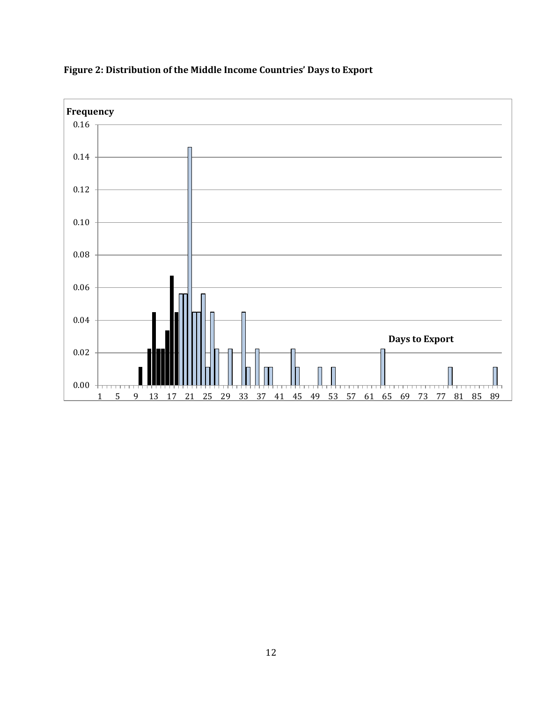

# **Figure 2: Distribution of the Middle Income Countries' Days to Export**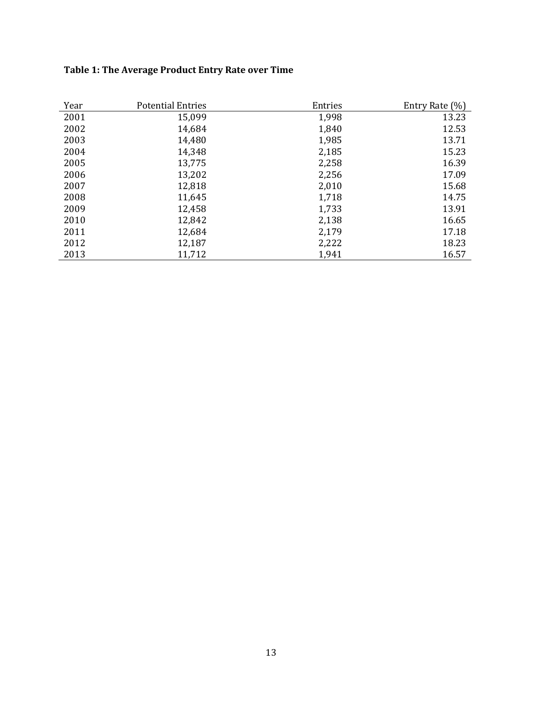# **Table 1: The Average Product Entry Rate over Time**

| Year | <b>Potential Entries</b> | Entries | Entry Rate (%) |
|------|--------------------------|---------|----------------|
| 2001 | 15,099                   | 1,998   | 13.23          |
| 2002 | 14,684                   | 1,840   | 12.53          |
| 2003 | 14,480                   | 1,985   | 13.71          |
| 2004 | 14,348                   | 2,185   | 15.23          |
| 2005 | 13,775                   | 2,258   | 16.39          |
| 2006 | 13,202                   | 2,256   | 17.09          |
| 2007 | 12,818                   | 2,010   | 15.68          |
| 2008 | 11,645                   | 1,718   | 14.75          |
| 2009 | 12,458                   | 1,733   | 13.91          |
| 2010 | 12,842                   | 2,138   | 16.65          |
| 2011 | 12,684                   | 2,179   | 17.18          |
| 2012 | 12,187                   | 2,222   | 18.23          |
| 2013 | 11,712                   | 1,941   | 16.57          |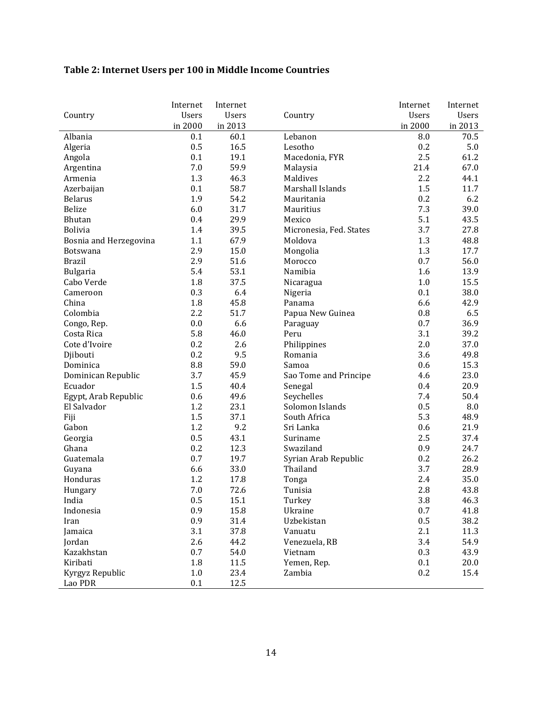# **Table 2: Internet Users per 100 in Middle Income Countries**

|                            | Internet     | Internet     |                         | Internet     | Internet     |
|----------------------------|--------------|--------------|-------------------------|--------------|--------------|
| Country                    | <b>Users</b> | <b>Users</b> | Country                 | <b>Users</b> | <b>Users</b> |
|                            | in 2000      | in 2013      |                         | in 2000      | in 2013      |
| Albania                    | 0.1          | 60.1         | Lebanon                 | $\, 8.0$     | 70.5         |
| Algeria                    | 0.5          | 16.5         | Lesotho                 | 0.2          | 5.0          |
| Angola                     | 0.1          | 19.1         | Macedonia, FYR          | 2.5          | 61.2         |
| Argentina                  | 7.0          | 59.9         | Malaysia                | 21.4         | 67.0         |
| Armenia                    | 1.3          | 46.3         | Maldives                | 2.2          | 44.1         |
| Azerbaijan                 | 0.1          | 58.7         | Marshall Islands        | 1.5          | 11.7         |
| <b>Belarus</b>             | 1.9          | 54.2         | Mauritania              | 0.2          | 6.2          |
| Belize                     | 6.0          | 31.7         | Mauritius               | 7.3          | 39.0         |
| Bhutan                     | 0.4          | 29.9         | Mexico                  | 5.1          | 43.5         |
| Bolivia                    | 1.4          | 39.5         | Micronesia, Fed. States | 3.7          | 27.8         |
| Bosnia and Herzegovina     | 1.1          | 67.9         | Moldova                 | 1.3          | 48.8         |
| Botswana                   | 2.9          | 15.0         | Mongolia                | 1.3          | 17.7         |
| <b>Brazil</b>              | 2.9          | 51.6         | Morocco                 | 0.7          | 56.0         |
| Bulgaria                   | 5.4          | 53.1         | Namibia                 | 1.6          | 13.9         |
| Cabo Verde                 | 1.8          | 37.5         | Nicaragua               | 1.0          | 15.5         |
| Cameroon                   | 0.3          | 6.4          | Nigeria                 | 0.1          | 38.0         |
| China                      | 1.8          | 45.8         | Panama                  | 6.6          | 42.9         |
| Colombia                   | 2.2          | 51.7         | Papua New Guinea        | 0.8          | 6.5          |
| Congo, Rep.                | 0.0          | 6.6          | Paraguay                | 0.7          | 36.9         |
| Costa Rica                 | 5.8          | 46.0         | Peru                    | 3.1          | 39.2         |
| Cote d'Ivoire              | 0.2          | 2.6          | Philippines             | 2.0          | 37.0         |
| Djibouti                   | 0.2          | 9.5          | Romania                 | 3.6          | 49.8         |
| Dominica                   | 8.8          | 59.0         | Samoa                   | 0.6          | 15.3         |
| Dominican Republic         | 3.7          | 45.9         | Sao Tome and Principe   | 4.6          | 23.0         |
| Ecuador                    | 1.5          | 40.4         | Senegal                 | 0.4          | 20.9         |
| Egypt, Arab Republic       | 0.6          | 49.6         | Seychelles              | 7.4          | 50.4         |
| El Salvador                | 1.2          | 23.1         | Solomon Islands         | 0.5          | 8.0          |
| Fiji                       | 1.5          | 37.1         | South Africa            | 5.3          | 48.9         |
| Gabon                      | 1.2          | 9.2          | Sri Lanka               | 0.6          | 21.9         |
| Georgia                    | 0.5          | 43.1         | Suriname                | 2.5          | 37.4         |
| Ghana                      | 0.2          | 12.3         | Swaziland               | 0.9          | 24.7         |
| Guatemala                  | 0.7          | 19.7         | Syrian Arab Republic    | 0.2          | 26.2         |
| Guyana                     | 6.6          | 33.0         | Thailand                | 3.7          | 28.9         |
| Honduras                   | 1.2          | 17.8         | Tonga                   | 2.4          | 35.0         |
| Hungary                    | 7.0          | 72.6         | Tunisia                 | 2.8          | 43.8         |
| India                      | 0.5          | 15.1         | Turkey                  | 3.8          | 46.3         |
| Indonesia                  | 0.9          | 15.8         | Ukraine                 | 0.7          | 41.8         |
| Iran                       | 0.9          | 31.4         | Uzbekistan              | 0.5          | 38.2         |
| Jamaica                    | 3.1          | 37.8         | Vanuatu                 | 2.1          | 11.3         |
| Jordan                     | 2.6          | 44.2         | Venezuela, RB           | 3.4          | 54.9         |
| Kazakhstan                 | 0.7          | 54.0         | Vietnam                 | 0.3          | 43.9         |
| Kiribati                   | 1.8          | 11.5         | Yemen, Rep.             | 0.1          | 20.0         |
|                            | 1.0          | 23.4         | Zambia                  | 0.2          |              |
| Kyrgyz Republic<br>Lao PDR | 0.1          | 12.5         |                         |              | 15.4         |
|                            |              |              |                         |              |              |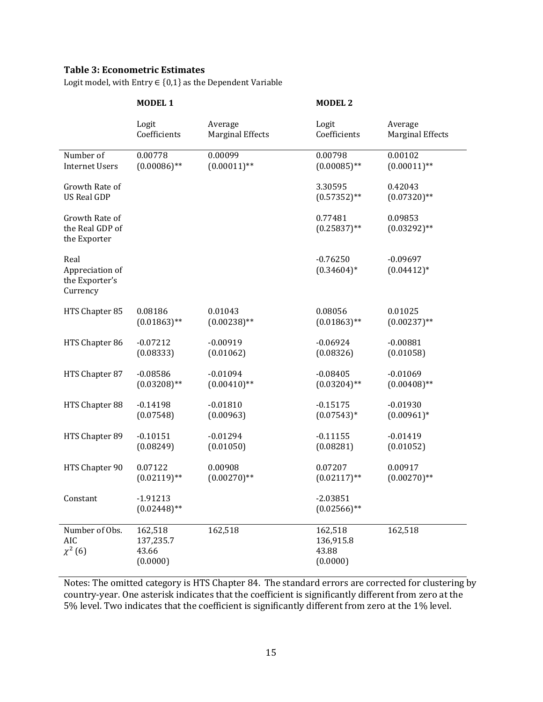## **Table 3: Econometric Estimates**

Logit model, with Entry  $\in \{0,1\}$  as the Dependent Variable

|                                                       | <b>MODEL 1</b>                            |                         | <b>MODEL 2</b>                            |                            |  |
|-------------------------------------------------------|-------------------------------------------|-------------------------|-------------------------------------------|----------------------------|--|
|                                                       | Logit                                     | Average                 | Logit                                     | Average                    |  |
|                                                       | Coefficients                              | <b>Marginal Effects</b> | Coefficients                              | <b>Marginal Effects</b>    |  |
| Number of                                             | 0.00778                                   | 0.00099                 | 0.00798                                   | 0.00102                    |  |
| <b>Internet Users</b>                                 | $(0.00086)$ **                            | $(0.00011)$ **          | $(0.00085)$ **                            | $(0.00011)$ **             |  |
| Growth Rate of<br><b>US Real GDP</b>                  |                                           |                         | 3.30595<br>$(0.57352)$ **                 | 0.42043<br>$(0.07320)$ **  |  |
| Growth Rate of<br>the Real GDP of<br>the Exporter     |                                           |                         | 0.77481<br>$(0.25837)$ **                 | 0.09853<br>$(0.03292)$ **  |  |
| Real<br>Appreciation of<br>the Exporter's<br>Currency |                                           |                         | $-0.76250$<br>$(0.34604)*$                | $-0.09697$<br>$(0.04412)*$ |  |
| HTS Chapter 85                                        | 0.08186                                   | 0.01043                 | 0.08056                                   | 0.01025                    |  |
|                                                       | $(0.01863)$ **                            | $(0.00238)$ **          | $(0.01863)$ **                            | $(0.00237)$ **             |  |
| HTS Chapter 86                                        | $-0.07212$                                | $-0.00919$              | $-0.06924$                                | $-0.00881$                 |  |
|                                                       | (0.08333)                                 | (0.01062)               | (0.08326)                                 | (0.01058)                  |  |
| HTS Chapter 87                                        | $-0.08586$                                | $-0.01094$              | $-0.08405$                                | $-0.01069$                 |  |
|                                                       | $(0.03208)$ **                            | $(0.00410)$ **          | $(0.03204)$ **                            | $(0.00408)$ **             |  |
| HTS Chapter 88                                        | $-0.14198$                                | $-0.01810$              | $-0.15175$                                | $-0.01930$                 |  |
|                                                       | (0.07548)                                 | (0.00963)               | $(0.07543)*$                              | $(0.00961)*$               |  |
| HTS Chapter 89                                        | $-0.10151$                                | $-0.01294$              | $-0.11155$                                | $-0.01419$                 |  |
|                                                       | (0.08249)                                 | (0.01050)               | (0.08281)                                 | (0.01052)                  |  |
| HTS Chapter 90                                        | 0.07122                                   | 0.00908                 | 0.07207                                   | 0.00917                    |  |
|                                                       | $(0.02119)$ **                            | $(0.00270)$ **          | $(0.02117)$ **                            | $(0.00270)$ **             |  |
| Constant                                              | $-1.91213$<br>$(0.02448)$ **              |                         | $-2.03851$<br>$(0.02566)$ **              |                            |  |
| Number of Obs.<br>AIC<br>$\chi^2(6)$                  | 162,518<br>137,235.7<br>43.66<br>(0.0000) | 162,518                 | 162,518<br>136,915.8<br>43.88<br>(0.0000) | 162,518                    |  |

Notes: The omitted category is HTS Chapter 84. The standard errors are corrected for clustering by country-year. One asterisk indicates that the coefficient is significantly different from zero at the 5% level. Two indicates that the coefficient is significantly different from zero at the 1% level.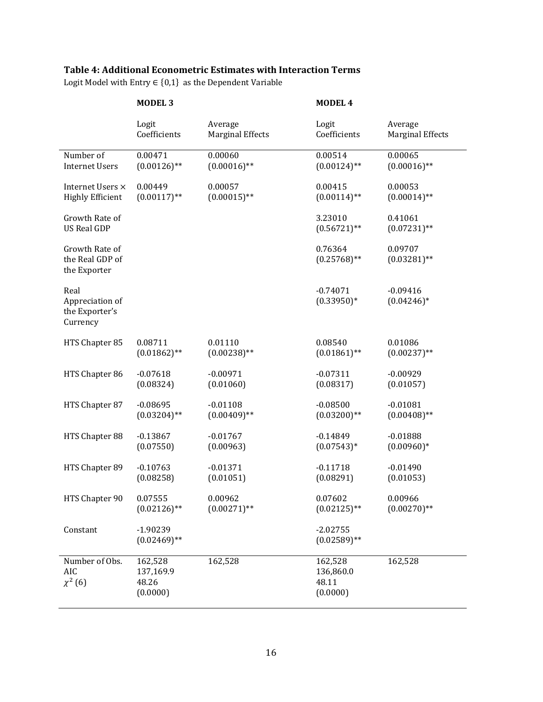## **Table 4: Additional Econometric Estimates with Interaction Terms**

Logit Model with Entry  $\in \{0,1\}$  as the Dependent Variable

|                                                       | <b>MODEL 3</b>                            |                         | <b>MODEL 4</b>                            |                             |
|-------------------------------------------------------|-------------------------------------------|-------------------------|-------------------------------------------|-----------------------------|
|                                                       | Logit                                     | Average                 | Logit                                     | Average                     |
|                                                       | Coefficients                              | <b>Marginal Effects</b> | Coefficients                              | <b>Marginal Effects</b>     |
| Number of                                             | 0.00471                                   | 0.00060                 | 0.00514                                   | 0.00065                     |
| <b>Internet Users</b>                                 | $(0.00126)$ **                            | $(0.00016)$ **          | $(0.00124)$ **                            | $(0.00016)$ **              |
| Internet Users ×                                      | 0.00449                                   | 0.00057                 | 0.00415                                   | 0.00053                     |
| <b>Highly Efficient</b>                               | $(0.00117)$ **                            | $(0.00015)$ **          | $(0.00114)$ **                            | $(0.00014)$ **              |
| Growth Rate of<br><b>US Real GDP</b>                  |                                           |                         | 3.23010<br>$(0.56721)$ **                 | 0.41061<br>$(0.07231)$ **   |
| Growth Rate of<br>the Real GDP of<br>the Exporter     |                                           |                         | 0.76364<br>$(0.25768)$ **                 | 0.09707<br>$(0.03281)$ **   |
| Real<br>Appreciation of<br>the Exporter's<br>Currency |                                           |                         | $-0.74071$<br>$(0.33950)*$                | $-0.09416$<br>$(0.04246)^*$ |
| HTS Chapter 85                                        | 0.08711                                   | 0.01110                 | 0.08540                                   | 0.01086                     |
|                                                       | $(0.01862)$ **                            | $(0.00238)$ **          | $(0.01861)$ **                            | $(0.00237)$ **              |
| HTS Chapter 86                                        | $-0.07618$                                | $-0.00971$              | $-0.07311$                                | $-0.00929$                  |
|                                                       | (0.08324)                                 | (0.01060)               | (0.08317)                                 | (0.01057)                   |
| HTS Chapter 87                                        | $-0.08695$                                | $-0.01108$              | $-0.08500$                                | $-0.01081$                  |
|                                                       | $(0.03204)$ **                            | $(0.00409)$ **          | $(0.03200)**$                             | $(0.00408)$ **              |
| HTS Chapter 88                                        | $-0.13867$                                | $-0.01767$              | $-0.14849$                                | $-0.01888$                  |
|                                                       | (0.07550)                                 | (0.00963)               | $(0.07543)*$                              | $(0.00960)*$                |
| HTS Chapter 89                                        | $-0.10763$                                | $-0.01371$              | $-0.11718$                                | $-0.01490$                  |
|                                                       | (0.08258)                                 | (0.01051)               | (0.08291)                                 | (0.01053)                   |
| HTS Chapter 90                                        | 0.07555                                   | 0.00962                 | 0.07602                                   | 0.00966                     |
|                                                       | $(0.02126)$ **                            | $(0.00271)$ **          | $(0.02125)$ **                            | $(0.00270)$ **              |
| Constant                                              | $-1.90239$<br>$(0.02469)$ **              |                         | $-2.02755$<br>$(0.02589)$ **              |                             |
| Number of Obs.<br>AIC<br>$\chi^2(6)$                  | 162,528<br>137,169.9<br>48.26<br>(0.0000) | 162,528                 | 162,528<br>136,860.0<br>48.11<br>(0.0000) | 162,528                     |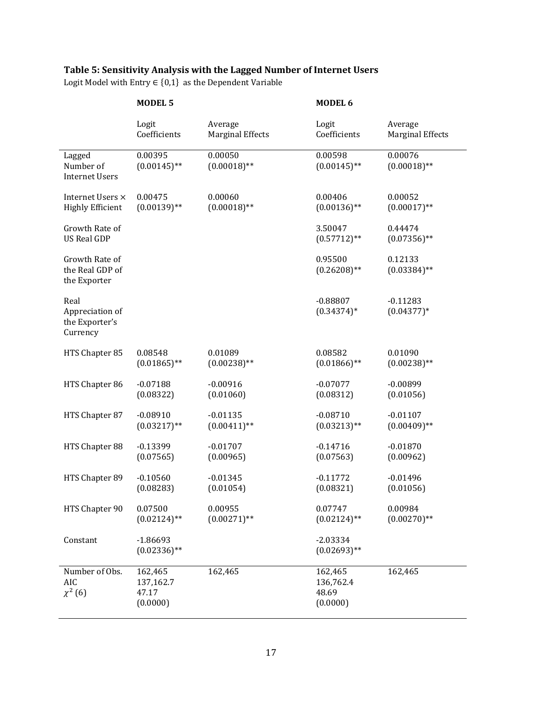# **Table 5: Sensitivity Analysis with the Lagged Number of Internet Users**

Logit Model with Entry  $\in \{0,1\}$  as the Dependent Variable

|                                                       | <b>MODEL 5</b>                            |                           | MODEL 6                                   |                             |
|-------------------------------------------------------|-------------------------------------------|---------------------------|-------------------------------------------|-----------------------------|
|                                                       | Logit                                     | Average                   | Logit                                     | Average                     |
|                                                       | Coefficients                              | <b>Marginal Effects</b>   | Coefficients                              | <b>Marginal Effects</b>     |
| Lagged<br>Number of<br><b>Internet Users</b>          | 0.00395<br>$(0.00145)$ **                 | 0.00050<br>$(0.00018)$ ** | 0.00598<br>$(0.00145)$ **                 | 0.00076<br>$(0.00018)$ **   |
| Internet Users ×                                      | 0.00475                                   | 0.00060                   | 0.00406                                   | 0.00052                     |
| <b>Highly Efficient</b>                               | $(0.00139)$ **                            | $(0.00018)$ **            | $(0.00136)$ **                            | $(0.00017)$ **              |
| Growth Rate of<br><b>US Real GDP</b>                  |                                           |                           | 3.50047<br>$(0.57712)$ **                 | 0.44474<br>$(0.07356)$ **   |
| Growth Rate of<br>the Real GDP of<br>the Exporter     |                                           |                           | 0.95500<br>$(0.26208)$ **                 | 0.12133<br>$(0.03384)$ **   |
| Real<br>Appreciation of<br>the Exporter's<br>Currency |                                           |                           | $-0.88807$<br>$(0.34374)*$                | $-0.11283$<br>$(0.04377)^*$ |
| HTS Chapter 85                                        | 0.08548                                   | 0.01089                   | 0.08582                                   | 0.01090                     |
|                                                       | $(0.01865)$ **                            | $(0.00238)$ **            | $(0.01866)$ **                            | $(0.00238)$ **              |
| HTS Chapter 86                                        | $-0.07188$                                | $-0.00916$                | $-0.07077$                                | $-0.00899$                  |
|                                                       | (0.08322)                                 | (0.01060)                 | (0.08312)                                 | (0.01056)                   |
| HTS Chapter 87                                        | $-0.08910$                                | $-0.01135$                | $-0.08710$                                | $-0.01107$                  |
|                                                       | $(0.03217)$ **                            | $(0.00411)$ **            | $(0.03213)$ **                            | $(0.00409)$ **              |
| HTS Chapter 88                                        | $-0.13399$                                | $-0.01707$                | $-0.14716$                                | $-0.01870$                  |
|                                                       | (0.07565)                                 | (0.00965)                 | (0.07563)                                 | (0.00962)                   |
| HTS Chapter 89                                        | $-0.10560$                                | $-0.01345$                | $-0.11772$                                | $-0.01496$                  |
|                                                       | (0.08283)                                 | (0.01054)                 | (0.08321)                                 | (0.01056)                   |
| HTS Chapter 90                                        | 0.07500                                   | 0.00955                   | 0.07747                                   | 0.00984                     |
|                                                       | $(0.02124)$ **                            | $(0.00271)$ **            | $(0.02124)$ **                            | $(0.00270)$ **              |
| Constant                                              | $-1.86693$<br>$(0.02336)$ **              |                           | $-2.03334$<br>$(0.02693)$ **              |                             |
| Number of Obs.<br>AIC<br>$\chi^2(6)$                  | 162,465<br>137,162.7<br>47.17<br>(0.0000) | 162,465                   | 162,465<br>136,762.4<br>48.69<br>(0.0000) | 162,465                     |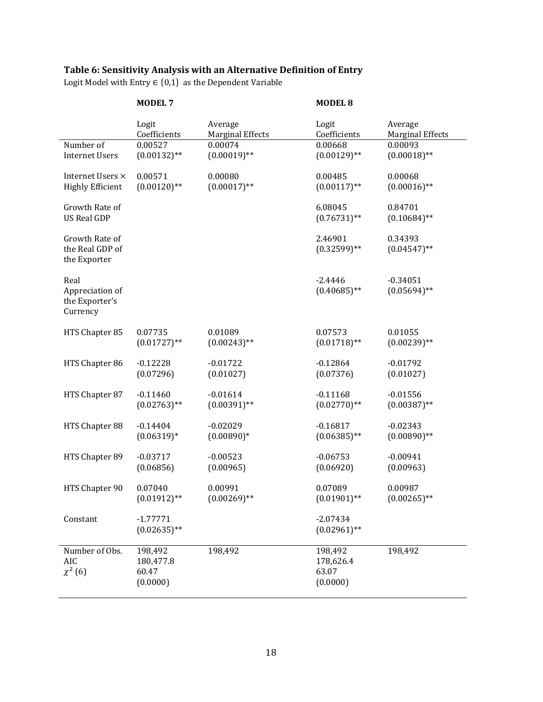# **Table 6: Sensitivity Analysis with an Alternative Definition of Entry**

Logit Model with Entry  $\in \{0,1\}$  as the Dependent Variable

|                                                       | <b>MODEL 7</b>                            |                         | <b>MODEL 8</b>                            |                              |
|-------------------------------------------------------|-------------------------------------------|-------------------------|-------------------------------------------|------------------------------|
|                                                       | Logit                                     | Average                 | Logit                                     | Average                      |
|                                                       | Coefficients                              | <b>Marginal Effects</b> | Coefficients                              | <b>Marginal Effects</b>      |
| Number of                                             | 0.00527                                   | 0.00074                 | 0.00668                                   | 0.00093                      |
| <b>Internet Users</b>                                 | $(0.00132)$ **                            | $(0.00019)$ **          | $(0.00129)$ **                            | $(0.00018)$ **               |
| Internet Users ×                                      | 0.00571                                   | 0.00080                 | 0.00485                                   | 0.00068                      |
| <b>Highly Efficient</b>                               | $(0.00120)$ **                            | $(0.00017)$ **          | $(0.00117)$ **                            | $(0.00016)$ **               |
| Growth Rate of<br><b>US Real GDP</b>                  |                                           |                         | 6.08045<br>$(0.76731)$ **                 | 0.84701<br>$(0.10684)$ **    |
| Growth Rate of<br>the Real GDP of<br>the Exporter     |                                           |                         | 2.46901<br>$(0.32599)**$                  | 0.34393<br>$(0.04547)$ **    |
| Real<br>Appreciation of<br>the Exporter's<br>Currency |                                           |                         | $-2.4446$<br>$(0.40685)$ **               | $-0.34051$<br>$(0.05694)$ ** |
| HTS Chapter 85                                        | 0.07735                                   | 0.01089                 | 0.07573                                   | 0.01055                      |
|                                                       | $(0.01727)$ **                            | $(0.00243)$ **          | $(0.01718)$ **                            | $(0.00239)$ **               |
| HTS Chapter 86                                        | $-0.12228$                                | $-0.01722$              | $-0.12864$                                | $-0.01792$                   |
|                                                       | (0.07296)                                 | (0.01027)               | (0.07376)                                 | (0.01027)                    |
| HTS Chapter 87                                        | $-0.11460$                                | $-0.01614$              | $-0.11168$                                | $-0.01556$                   |
|                                                       | $(0.02763)$ **                            | $(0.00391)$ **          | $(0.02770)$ **                            | $(0.00387)$ **               |
| HTS Chapter 88                                        | $-0.14404$                                | $-0.02029$              | $-0.16817$                                | $-0.02343$                   |
|                                                       | $(0.06319)*$                              | $(0.00890)*$            | $(0.06385)$ **                            | $(0.00890)$ **               |
| HTS Chapter 89                                        | $-0.03717$                                | $-0.00523$              | $-0.06753$                                | $-0.00941$                   |
|                                                       | (0.06856)                                 | (0.00965)               | (0.06920)                                 | (0.00963)                    |
| HTS Chapter 90                                        | 0.07040                                   | 0.00991                 | 0.07089                                   | 0.00987                      |
|                                                       | $(0.01912)$ **                            | $(0.00269)$ **          | $(0.01901)$ **                            | $(0.00265)$ **               |
| Constant                                              | $-1.77771$<br>$(0.02635)$ **              |                         | $-2.07434$<br>$(0.02961)$ **              |                              |
| Number of Obs.<br>AIC<br>$\chi^2(6)$                  | 198,492<br>180,477.8<br>60.47<br>(0.0000) | 198,492                 | 198,492<br>178,626.4<br>63.07<br>(0.0000) | 198,492                      |